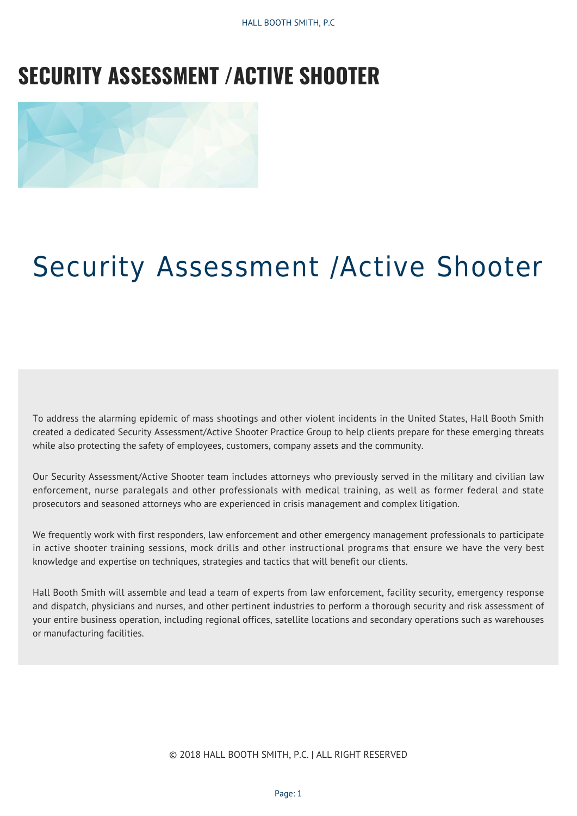HALL BOOTH SMITH, P.C

## **SECURITY ASSESSMENT /ACTIVE SHOOTER**



## Security Assessment /Active Shooter

To address the alarming epidemic of mass shootings and other violent incidents in the United States, Hall Booth Smith created a dedicated Security Assessment/Active Shooter Practice Group to help clients prepare for these emerging threats while also protecting the safety of employees, customers, company assets and the community.

Our Security Assessment/Active Shooter team includes attorneys who previously served in the military and civilian law enforcement, nurse paralegals and other professionals with medical training, as well as former federal and state prosecutors and seasoned attorneys who are experienced in crisis management and complex litigation.

We frequently work with first responders, law enforcement and other emergency management professionals to participate in active shooter training sessions, mock drills and other instructional programs that ensure we have the very best knowledge and expertise on techniques, strategies and tactics that will benefit our clients.

Hall Booth Smith will assemble and lead a team of experts from law enforcement, facility security, emergency response and dispatch, physicians and nurses, and other pertinent industries to perform a thorough security and risk assessment of your entire business operation, including regional offices, satellite locations and secondary operations such as warehouses or manufacturing facilities.

© 2018 HALL BOOTH SMITH, P.C. | ALL RIGHT RESERVED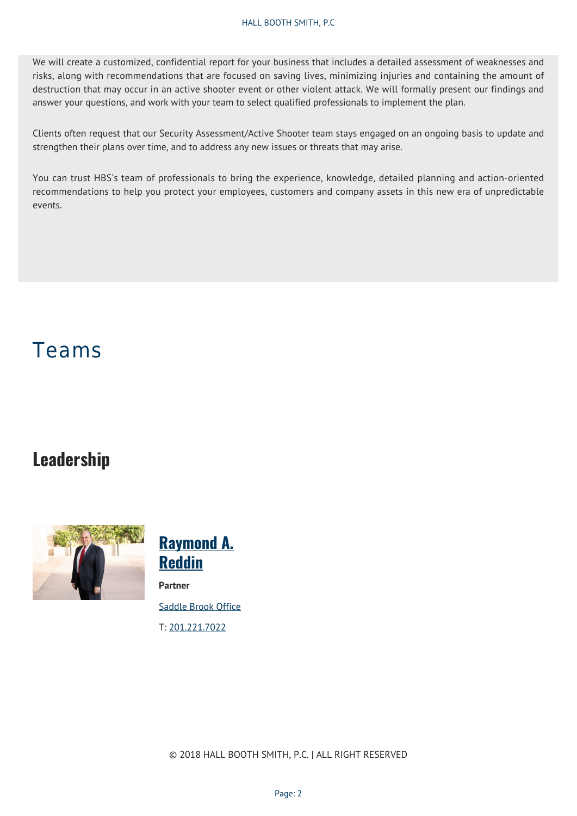We will create a customized, confidential report for your business that includes a detailed assessment of weaknesses and risks, along with recommendations that are focused on saving lives, minimizing injuries and containing the amount of destruction that may occur in an active shooter event or other violent attack. We will formally present our findings and answer your questions, and work with your team to select qualified professionals to implement the plan.

Clients often request that our Security Assessment/Active Shooter team stays engaged on an ongoing basis to update and strengthen their plans over time, and to address any new issues or threats that may arise.

You can trust HBS's team of professionals to bring the experience, knowledge, detailed planning and action-oriented recommendations to help you protect your employees, customers and company assets in this new era of unpredictable events.

## Teams

## **Leadership**



**[Raymond A.](https://hallboothsmith.com/attorney/ray-a-reddin/) [Reddin](https://hallboothsmith.com/attorney/ray-a-reddin/) Partner** [Saddle Brook Office](https://hallboothsmith.com/law-offices/saddle-brook-nj/)

T: [201.221.7022](Tel:201.221.7022)

© 2018 HALL BOOTH SMITH, P.C. | ALL RIGHT RESERVED